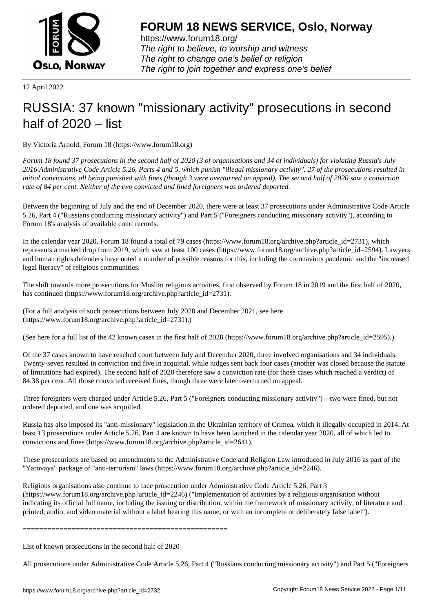

https://www.forum18.org/ The right to believe, to worship and witness The right to change one's belief or religion [The right to join together a](https://www.forum18.org/)nd express one's belief

12 April 2022

## [RUSSIA: 37 kno](https://www.forum18.org)wn "missionary activity" prosecutions in second half of 2020 – list

By Victoria Arnold, Forum 18 (https://www.forum18.org)

*Forum 18 found 37 prosecutions in the second half of 2020 (3 of organisations and 34 of individuals) for violating Russia's July 2016 Administrative Code Article 5.26, Parts 4 and 5, which punish "illegal missionary activity". 27 of the prosecutions resulted in initial convictions, all being punished with fines (though 3 were overturned on appeal). The second half of 2020 saw a conviction rate of 84 per cent. Neither of the two convicted and fined foreigners was ordered deported.*

Between the beginning of July and the end of December 2020, there were at least 37 prosecutions under Administrative Code Article 5.26, Part 4 ("Russians conducting missionary activity") and Part 5 ("Foreigners conducting missionary activity"), according to Forum 18's analysis of available court records.

In the calendar year 2020, Forum 18 found a total of 79 cases (https://www.forum18.org/archive.php?article\_id=2731), which represents a marked drop from 2019, which saw at least 100 cases (https://www.forum18.org/archive.php?article\_id=2594). Lawyers and human rights defenders have noted a number of possible reasons for this, including the coronavirus pandemic and the "increased legal literacy" of religious communities.

The shift towards more prosecutions for Muslim religious activities, first observed by Forum 18 in 2019 and the first half of 2020, has continued (https://www.forum18.org/archive.php?article\_id=2731).

(For a full analysis of such prosecutions between July 2020 and December 2021, see here (https://www.forum18.org/archive.php?article\_id=2731).)

(See here for a full list of the 42 known cases in the first half of 2020 (https://www.forum18.org/archive.php?article\_id=2595).)

Of the 37 cases known to have reached court between July and December 2020, three involved organisations and 34 individuals. Twenty-seven resulted in conviction and five in acquittal, while judges sent back four cases (another was closed because the statute of limitations had expired). The second half of 2020 therefore saw a conviction rate (for those cases which reached a verdict) of 84.38 per cent. All those convicted received fines, though three were later overturned on appeal.

Three foreigners were charged under Article 5.26, Part 5 ("Foreigners conducting missionary activity") – two were fined, but not ordered deported, and one was acquitted.

Russia has also imposed its "anti-missionary" legislation in the Ukrainian territory of Crimea, which it illegally occupied in 2014. At least 13 prosecutions under Article 5.26, Part 4 are known to have been launched in the calendar year 2020, all of which led to convictions and fines (https://www.forum18.org/archive.php?article\_id=2641).

These prosecutions are based on amendments to the Administrative Code and Religion Law introduced in July 2016 as part of the "Yarovaya" package of "anti-terrorism" laws (https://www.forum18.org/archive.php?article\_id=2246).

Religious organisations also continue to face prosecution under Administrative Code Article 5.26, Part 3 (https://www.forum18.org/archive.php?article\_id=2246) ("Implementation of activities by a religious organisation without indicating its official full name, including the issuing or distribution, within the framework of missionary activity, of literature and printed, audio, and video material without a label bearing this name, or with an incomplete or deliberately false label").

==================================================

List of known prosecutions in the second half of 2020

All prosecutions under Administrative Code Article 5.26, Part 4 ("Russians conducting missionary activity") and Part 5 ("Foreigners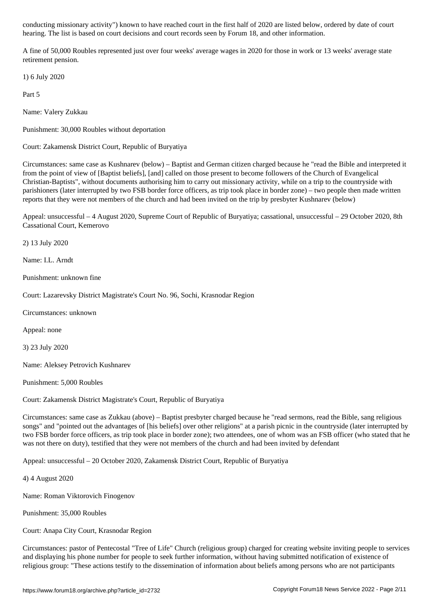hearing. The list is based on court decisions and court records seen by Forum 18, and other information.

A fine of 50,000 Roubles represented just over four weeks' average wages in 2020 for those in work or 13 weeks' average state retirement pension.

1) 6 July 2020

Part 5

Name: Valery Zukkau

Punishment: 30,000 Roubles without deportation

Court: Zakamensk District Court, Republic of Buryatiya

Circumstances: same case as Kushnarev (below) – Baptist and German citizen charged because he "read the Bible and interpreted it from the point of view of [Baptist beliefs], [and] called on those present to become followers of the Church of Evangelical Christian-Baptists", without documents authorising him to carry out missionary activity, while on a trip to the countryside with parishioners (later interrupted by two FSB border force officers, as trip took place in border zone) – two people then made written reports that they were not members of the church and had been invited on the trip by presbyter Kushnarev (below)

Appeal: unsuccessful – 4 August 2020, Supreme Court of Republic of Buryatiya; cassational, unsuccessful – 29 October 2020, 8th Cassational Court, Kemerovo

2) 13 July 2020

Name: I.L. Arndt

Punishment: unknown fine

Court: Lazarevsky District Magistrate's Court No. 96, Sochi, Krasnodar Region

Circumstances: unknown

Appeal: none

3) 23 July 2020

Name: Aleksey Petrovich Kushnarev

Punishment: 5,000 Roubles

Court: Zakamensk District Magistrate's Court, Republic of Buryatiya

Circumstances: same case as Zukkau (above) – Baptist presbyter charged because he "read sermons, read the Bible, sang religious songs" and "pointed out the advantages of [his beliefs] over other religions" at a parish picnic in the countryside (later interrupted by two FSB border force officers, as trip took place in border zone); two attendees, one of whom was an FSB officer (who stated that he was not there on duty), testified that they were not members of the church and had been invited by defendant

Appeal: unsuccessful – 20 October 2020, Zakamensk District Court, Republic of Buryatiya

4) 4 August 2020

Name: Roman Viktorovich Finogenov

Punishment: 35,000 Roubles

Court: Anapa City Court, Krasnodar Region

Circumstances: pastor of Pentecostal "Tree of Life" Church (religious group) charged for creating website inviting people to services and displaying his phone number for people to seek further information, without having submitted notification of existence of religious group: "These actions testify to the dissemination of information about beliefs among persons who are not participants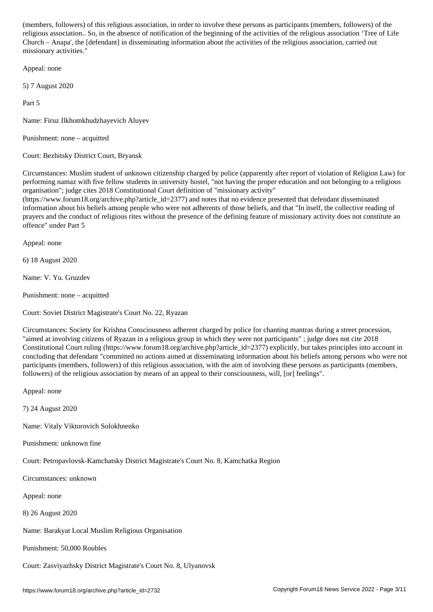religious association.. So, in the absence of notification of the beginning of the activities of the religious association 'Tree of Life Church – Anapa', the [defendant] in disseminating information about the activities of the religious association, carried out missionary activities."

Appeal: none

5) 7 August 2020

Part 5

Name: Firuz Ilkhomkhudzhayevich Aluyev

Punishment: none – acquitted

Court: Bezhitsky District Court, Bryansk

Circumstances: Muslim student of unknown citizenship charged by police (apparently after report of violation of Religion Law) for performing namaz with five fellow students in university hostel, "not having the proper education and not belonging to a religious organisation"; judge cites 2018 Constitutional Court definition of "missionary activity"

 $(\text{https://www.forum18.org/archive.php?article id=2377})$  and notes that no evidence presented that defendant disseminated information about his beliefs among people who were not adherents of those beliefs, and that "In itself, the collective reading of prayers and the conduct of religious rites without the presence of the defining feature of missionary activity does not constitute an offence" under Part 5

Appeal: none

6) 18 August 2020

Name: V. Yu. Gruzdev

Punishment: none – acquitted

Court: Soviet District Magistrate's Court No. 22, Ryazan

Circumstances: Society for Krishna Consciousness adherent charged by police for chanting mantras during a street procession, "aimed at involving citizens of Ryazan in a religious group in which they were not participants" ; judge does not cite 2018 Constitutional Court ruling (https://www.forum18.org/archive.php?article\_id=2377) explicitly, but takes principles into account in concluding that defendant "committed no actions aimed at disseminating information about his beliefs among persons who were not participants (members, followers) of this religious association, with the aim of involving these persons as participants (members, followers) of the religious association by means of an appeal to their consciousness, will, [or] feelings".

Appeal: none

7) 24 August 2020

Name: Vitaly Viktorovich Solokhnenko

Punishment: unknown fine

Court: Petropavlovsk-Kamchatsky District Magistrate's Court No. 8, Kamchatka Region

Circumstances: unknown

Appeal: none

8) 26 August 2020

Name: Barakyat Local Muslim Religious Organisation

Punishment: 50,000 Roubles

Court: Zasviyazhsky District Magistrate's Court No. 8, Ulyanovsk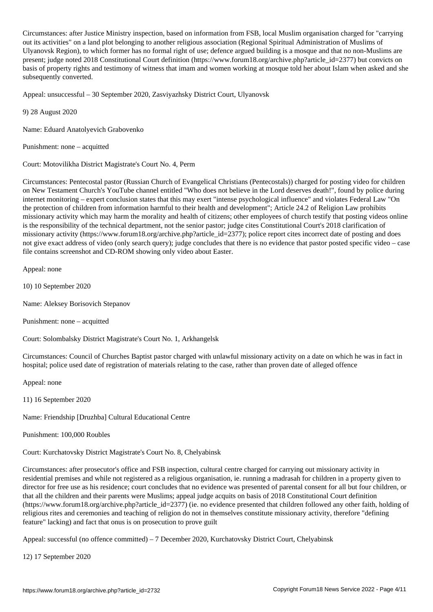Circumstances: after Justice Ministry inspection, based on information from FSB, local Muslim organisation charged for "carrying out its activities" on a land plot belonging to another religious association (Regional Spiritual Administration of Muslims of Ulyanovsk Region), to which former has no formal right of use; defence argued building is a mosque and that no non-Muslims are present; judge noted 2018 Constitutional Court definition (https://www.forum18.org/archive.php?article\_id=2377) but convicts on basis of property rights and testimony of witness that imam and women working at mosque told her about Islam when asked and she subsequently converted.

Appeal: unsuccessful – 30 September 2020, Zasviyazhsky District Court, Ulyanovsk

9) 28 August 2020

Name: Eduard Anatolyevich Grabovenko

Punishment: none – acquitted

Court: Motovilikha District Magistrate's Court No. 4, Perm

Circumstances: Pentecostal pastor (Russian Church of Evangelical Christians (Pentecostals)) charged for posting video for children on New Testament Church's YouTube channel entitled "Who does not believe in the Lord deserves death!", found by police during internet monitoring – expert conclusion states that this may exert "intense psychological influence" and violates Federal Law "On the protection of children from information harmful to their health and development"; Article 24.2 of Religion Law prohibits missionary activity which may harm the morality and health of citizens; other employees of church testify that posting videos online is the responsibility of the technical department, not the senior pastor; judge cites Constitutional Court's 2018 clarification of missionary activity (https://www.forum18.org/archive.php?article\_id=2377); police report cites incorrect date of posting and does not give exact address of video (only search query); judge concludes that there is no evidence that pastor posted specific video – case file contains screenshot and CD-ROM showing only video about Easter.

Appeal: none

10) 10 September 2020

Name: Aleksey Borisovich Stepanov

Punishment: none – acquitted

Court: Solombalsky District Magistrate's Court No. 1, Arkhangelsk

Circumstances: Council of Churches Baptist pastor charged with unlawful missionary activity on a date on which he was in fact in hospital; police used date of registration of materials relating to the case, rather than proven date of alleged offence

Appeal: none

11) 16 September 2020

Name: Friendship [Druzhba] Cultural Educational Centre

Punishment: 100,000 Roubles

Court: Kurchatovsky District Magistrate's Court No. 8, Chelyabinsk

Circumstances: after prosecutor's office and FSB inspection, cultural centre charged for carrying out missionary activity in residential premises and while not registered as a religious organisation, ie. running a madrasah for children in a property given to director for free use as his residence; court concludes that no evidence was presented of parental consent for all but four children, or that all the children and their parents were Muslims; appeal judge acquits on basis of 2018 Constitutional Court definition (https://www.forum18.org/archive.php?article\_id=2377) (ie. no evidence presented that children followed any other faith, holding of religious rites and ceremonies and teaching of religion do not in themselves constitute missionary activity, therefore "defining feature" lacking) and fact that onus is on prosecution to prove guilt

Appeal: successful (no offence committed) – 7 December 2020, Kurchatovsky District Court, Chelyabinsk

12) 17 September 2020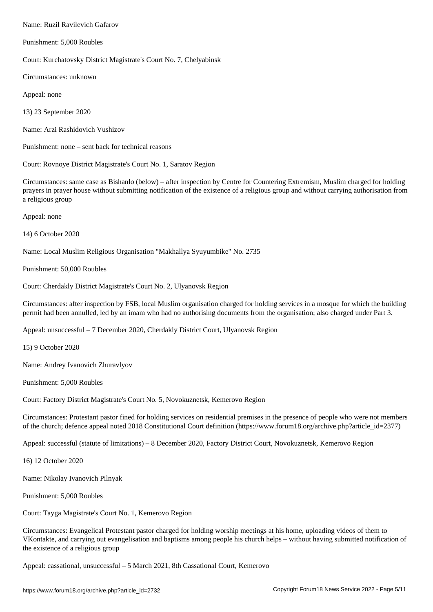Punishment: 5,000 Roubles

Court: Kurchatovsky District Magistrate's Court No. 7, Chelyabinsk

Circumstances: unknown

Appeal: none

13) 23 September 2020

Name: Arzi Rashidovich Vushizov

Punishment: none – sent back for technical reasons

Court: Rovnoye District Magistrate's Court No. 1, Saratov Region

Circumstances: same case as Bishanlo (below) – after inspection by Centre for Countering Extremism, Muslim charged for holding prayers in prayer house without submitting notification of the existence of a religious group and without carrying authorisation from a religious group

Appeal: none

14) 6 October 2020

Name: Local Muslim Religious Organisation "Makhallya Syuyumbike" No. 2735

Punishment: 50,000 Roubles

Court: Cherdakly District Magistrate's Court No. 2, Ulyanovsk Region

Circumstances: after inspection by FSB, local Muslim organisation charged for holding services in a mosque for which the building permit had been annulled, led by an imam who had no authorising documents from the organisation; also charged under Part 3.

Appeal: unsuccessful – 7 December 2020, Cherdakly District Court, Ulyanovsk Region

15) 9 October 2020

Name: Andrey Ivanovich Zhuravlyov

Punishment: 5,000 Roubles

Court: Factory District Magistrate's Court No. 5, Novokuznetsk, Kemerovo Region

Circumstances: Protestant pastor fined for holding services on residential premises in the presence of people who were not members of the church; defence appeal noted 2018 Constitutional Court definition (https://www.forum18.org/archive.php?article\_id=2377)

Appeal: successful (statute of limitations) – 8 December 2020, Factory District Court, Novokuznetsk, Kemerovo Region

16) 12 October 2020

Name: Nikolay Ivanovich Pilnyak

Punishment: 5,000 Roubles

Court: Tayga Magistrate's Court No. 1, Kemerovo Region

Circumstances: Evangelical Protestant pastor charged for holding worship meetings at his home, uploading videos of them to VKontakte, and carrying out evangelisation and baptisms among people his church helps – without having submitted notification of the existence of a religious group

Appeal: cassational, unsuccessful – 5 March 2021, 8th Cassational Court, Kemerovo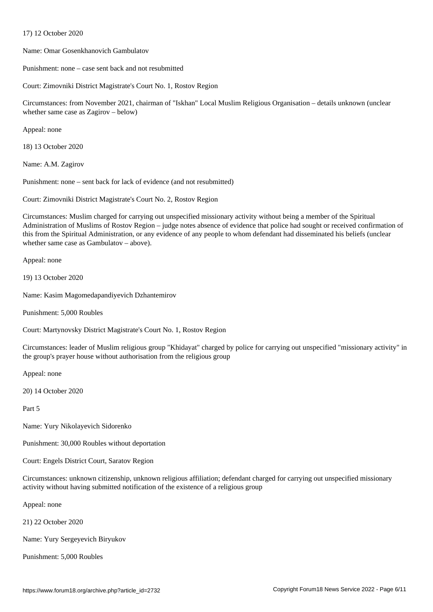Name: Omar Gosenkhanovich Gambulatov

Punishment: none – case sent back and not resubmitted

Court: Zimovniki District Magistrate's Court No. 1, Rostov Region

Circumstances: from November 2021, chairman of "Iskhan" Local Muslim Religious Organisation – details unknown (unclear whether same case as Zagirov – below)

Appeal: none

18) 13 October 2020

 $17$  October 2020  $\pm$ 

Name: A.M. Zagirov

Punishment: none – sent back for lack of evidence (and not resubmitted)

Court: Zimovniki District Magistrate's Court No. 2, Rostov Region

Circumstances: Muslim charged for carrying out unspecified missionary activity without being a member of the Spiritual Administration of Muslims of Rostov Region – judge notes absence of evidence that police had sought or received confirmation of this from the Spiritual Administration, or any evidence of any people to whom defendant had disseminated his beliefs (unclear whether same case as Gambulatov – above).

Appeal: none

19) 13 October 2020

Name: Kasim Magomedapandiyevich Dzhantemirov

Punishment: 5,000 Roubles

Court: Martynovsky District Magistrate's Court No. 1, Rostov Region

Circumstances: leader of Muslim religious group "Khidayat" charged by police for carrying out unspecified "missionary activity" in the group's prayer house without authorisation from the religious group

Appeal: none

20) 14 October 2020

Part 5

Name: Yury Nikolayevich Sidorenko

Punishment: 30,000 Roubles without deportation

Court: Engels District Court, Saratov Region

Circumstances: unknown citizenship, unknown religious affiliation; defendant charged for carrying out unspecified missionary activity without having submitted notification of the existence of a religious group

Appeal: none

21) 22 October 2020

Name: Yury Sergeyevich Biryukov

Punishment: 5,000 Roubles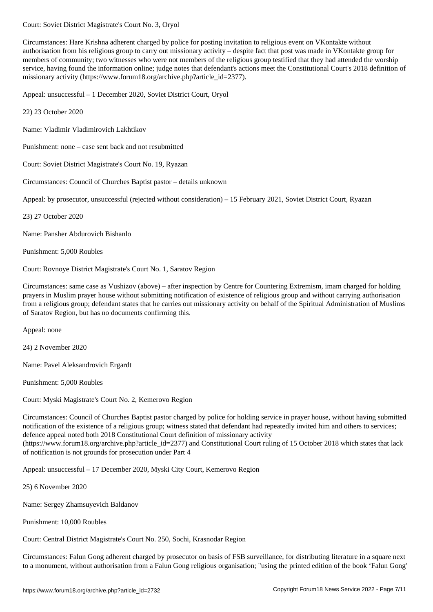Circumstances: Hare Krishna adherent charged by police for posting invitation to religious event on VKontakte without authorisation from his religious group to carry out missionary activity – despite fact that post was made in VKontakte group for members of community; two witnesses who were not members of the religious group testified that they had attended the worship service, having found the information online; judge notes that defendant's actions meet the Constitutional Court's 2018 definition of missionary activity (https://www.forum18.org/archive.php?article\_id=2377).

Appeal: unsuccessful – 1 December 2020, Soviet District Court, Oryol

22) 23 October 2020

Name: Vladimir Vladimirovich Lakhtikov

Punishment: none – case sent back and not resubmitted

Court: Soviet District Magistrate's Court No. 19, Ryazan

Circumstances: Council of Churches Baptist pastor – details unknown

Appeal: by prosecutor, unsuccessful (rejected without consideration) – 15 February 2021, Soviet District Court, Ryazan

23) 27 October 2020

Name: Pansher Abdurovich Bishanlo

Punishment: 5,000 Roubles

Court: Rovnoye District Magistrate's Court No. 1, Saratov Region

Circumstances: same case as Vushizov (above) – after inspection by Centre for Countering Extremism, imam charged for holding prayers in Muslim prayer house without submitting notification of existence of religious group and without carrying authorisation from a religious group; defendant states that he carries out missionary activity on behalf of the Spiritual Administration of Muslims of Saratov Region, but has no documents confirming this.

Appeal: none

24) 2 November 2020

Name: Pavel Aleksandrovich Ergardt

Punishment: 5,000 Roubles

Court: Myski Magistrate's Court No. 2, Kemerovo Region

Circumstances: Council of Churches Baptist pastor charged by police for holding service in prayer house, without having submitted notification of the existence of a religious group; witness stated that defendant had repeatedly invited him and others to services; defence appeal noted both 2018 Constitutional Court definition of missionary activity (https://www.forum18.org/archive.php?article\_id=2377) and Constitutional Court ruling of 15 October 2018 which states that lack of notification is not grounds for prosecution under Part 4

Appeal: unsuccessful – 17 December 2020, Myski City Court, Kemerovo Region

25) 6 November 2020

Name: Sergey Zhamsuyevich Baldanov

Punishment: 10,000 Roubles

Court: Central District Magistrate's Court No. 250, Sochi, Krasnodar Region

Circumstances: Falun Gong adherent charged by prosecutor on basis of FSB surveillance, for distributing literature in a square next to a monument, without authorisation from a Falun Gong religious organisation; "using the printed edition of the book 'Falun Gong'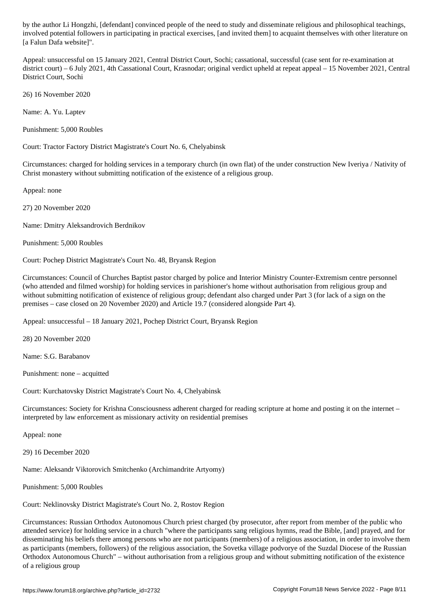involved potential followers in participating in practical exercises, [and invited them] to acquaint themselves with other literature on [a Falun Dafa website]".

Appeal: unsuccessful on 15 January 2021, Central District Court, Sochi; cassational, successful (case sent for re-examination at district court) – 6 July 2021, 4th Cassational Court, Krasnodar; original verdict upheld at repeat appeal – 15 November 2021, Central District Court, Sochi

26) 16 November 2020

Name: A. Yu. Laptev

Punishment: 5,000 Roubles

Court: Tractor Factory District Magistrate's Court No. 6, Chelyabinsk

Circumstances: charged for holding services in a temporary church (in own flat) of the under construction New Iveriya / Nativity of Christ monastery without submitting notification of the existence of a religious group.

Appeal: none

27) 20 November 2020

Name: Dmitry Aleksandrovich Berdnikov

Punishment: 5,000 Roubles

Court: Pochep District Magistrate's Court No. 48, Bryansk Region

Circumstances: Council of Churches Baptist pastor charged by police and Interior Ministry Counter-Extremism centre personnel (who attended and filmed worship) for holding services in parishioner's home without authorisation from religious group and without submitting notification of existence of religious group; defendant also charged under Part 3 (for lack of a sign on the premises – case closed on 20 November 2020) and Article 19.7 (considered alongside Part 4).

Appeal: unsuccessful – 18 January 2021, Pochep District Court, Bryansk Region

28) 20 November 2020

Name: S.G. Barabanov

Punishment: none – acquitted

Court: Kurchatovsky District Magistrate's Court No. 4, Chelyabinsk

Circumstances: Society for Krishna Consciousness adherent charged for reading scripture at home and posting it on the internet – interpreted by law enforcement as missionary activity on residential premises

Appeal: none

29) 16 December 2020

Name: Aleksandr Viktorovich Smitchenko (Archimandrite Artyomy)

Punishment: 5,000 Roubles

Court: Neklinovsky District Magistrate's Court No. 2, Rostov Region

Circumstances: Russian Orthodox Autonomous Church priest charged (by prosecutor, after report from member of the public who attended service) for holding service in a church "where the participants sang religious hymns, read the Bible, [and] prayed, and for disseminating his beliefs there among persons who are not participants (members) of a religious association, in order to involve them as participants (members, followers) of the religious association, the Sovetka village podvorye of the Suzdal Diocese of the Russian Orthodox Autonomous Church" – without authorisation from a religious group and without submitting notification of the existence of a religious group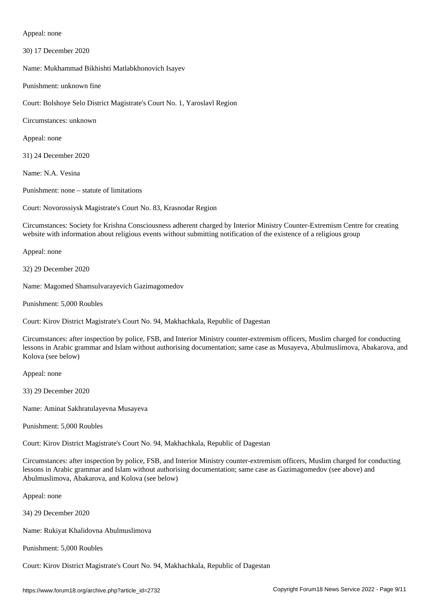Appeal: none

30) 17 December 2020

Name: Mukhammad Bikhishti Matlabkhonovich Isayev

Punishment: unknown fine

Court: Bolshoye Selo District Magistrate's Court No. 1, Yaroslavl Region

Circumstances: unknown

Appeal: none

31) 24 December 2020

Name: N.A. Vesina

Punishment: none – statute of limitations

Court: Novorossiysk Magistrate's Court No. 83, Krasnodar Region

Circumstances: Society for Krishna Consciousness adherent charged by Interior Ministry Counter-Extremism Centre for creating website with information about religious events without submitting notification of the existence of a religious group

Appeal: none

32) 29 December 2020

Name: Magomed Shamsulvarayevich Gazimagomedov

Punishment: 5,000 Roubles

Court: Kirov District Magistrate's Court No. 94, Makhachkala, Republic of Dagestan

Circumstances: after inspection by police, FSB, and Interior Ministry counter-extremism officers, Muslim charged for conducting lessons in Arabic grammar and Islam without authorising documentation; same case as Musayeva, Abulmuslimova, Abakarova, and Kolova (see below)

Appeal: none

33) 29 December 2020

Name: Aminat Sakhratulayevna Musayeva

Punishment: 5,000 Roubles

Court: Kirov District Magistrate's Court No. 94, Makhachkala, Republic of Dagestan

Circumstances: after inspection by police, FSB, and Interior Ministry counter-extremism officers, Muslim charged for conducting lessons in Arabic grammar and Islam without authorising documentation; same case as Gazimagomedov (see above) and Abulmuslimova, Abakarova, and Kolova (see below)

Appeal: none

34) 29 December 2020

Name: Rukiyat Khalidovna Abulmuslimova

Punishment: 5,000 Roubles

Court: Kirov District Magistrate's Court No. 94, Makhachkala, Republic of Dagestan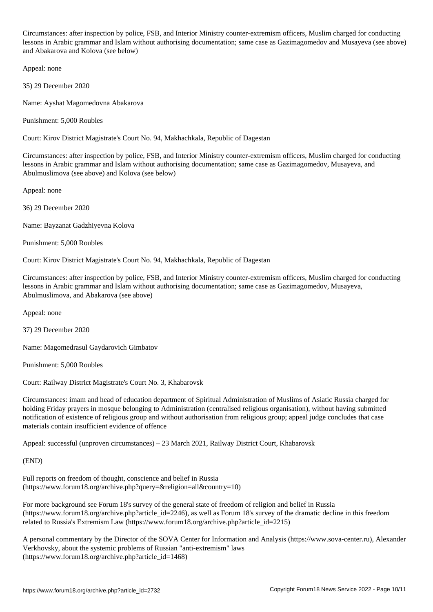Circumstances: after inspection by police, FSB, and Interior Ministry counter-extremism officers, Muslim charged for conducting lessons in Arabic grammar and Islam without authorising documentation; same case as Gazimagomedov and Musayeva (see above) and Abakarova and Kolova (see below)

Appeal: none

35) 29 December 2020

Name: Ayshat Magomedovna Abakarova

Punishment: 5,000 Roubles

Court: Kirov District Magistrate's Court No. 94, Makhachkala, Republic of Dagestan

Circumstances: after inspection by police, FSB, and Interior Ministry counter-extremism officers, Muslim charged for conducting lessons in Arabic grammar and Islam without authorising documentation; same case as Gazimagomedov, Musayeva, and Abulmuslimova (see above) and Kolova (see below)

Appeal: none

36) 29 December 2020

Name: Bayzanat Gadzhiyevna Kolova

Punishment: 5,000 Roubles

Court: Kirov District Magistrate's Court No. 94, Makhachkala, Republic of Dagestan

Circumstances: after inspection by police, FSB, and Interior Ministry counter-extremism officers, Muslim charged for conducting lessons in Arabic grammar and Islam without authorising documentation; same case as Gazimagomedov, Musayeva, Abulmuslimova, and Abakarova (see above)

Appeal: none

37) 29 December 2020

Name: Magomedrasul Gaydarovich Gimbatov

Punishment: 5,000 Roubles

Court: Railway District Magistrate's Court No. 3, Khabarovsk

Circumstances: imam and head of education department of Spiritual Administration of Muslims of Asiatic Russia charged for holding Friday prayers in mosque belonging to Administration (centralised religious organisation), without having submitted notification of existence of religious group and without authorisation from religious group; appeal judge concludes that case materials contain insufficient evidence of offence

Appeal: successful (unproven circumstances) – 23 March 2021, Railway District Court, Khabarovsk

(END)

Full reports on freedom of thought, conscience and belief in Russia (https://www.forum18.org/archive.php?query=&religion=all&country=10)

For more background see Forum 18's survey of the general state of freedom of religion and belief in Russia (https://www.forum18.org/archive.php?article\_id=2246), as well as Forum 18's survey of the dramatic decline in this freedom related to Russia's Extremism Law (https://www.forum18.org/archive.php?article\_id=2215)

A personal commentary by the Director of the SOVA Center for Information and Analysis (https://www.sova-center.ru), Alexander Verkhovsky, about the systemic problems of Russian "anti-extremism" laws (https://www.forum18.org/archive.php?article\_id=1468)